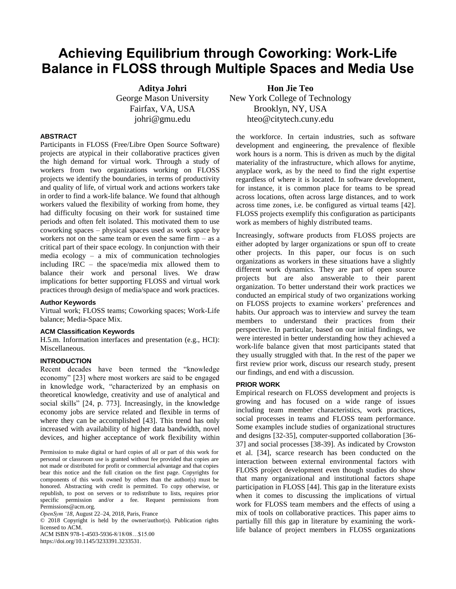# **Achieving Equilibrium through Coworking: Work-Life Balance in FLOSS through Multiple Spaces and Media Use**

**Aditya Johri** George Mason University Fairfax, VA, USA johri@gmu.edu

# **ABSTRACT**

Participants in FLOSS (Free/Libre Open Source Software) projects are atypical in their collaborative practices given the high demand for virtual work. Through a study of workers from two organizations working on FLOSS projects we identify the boundaries, in terms of productivity and quality of life, of virtual work and actions workers take in order to find a work-life balance. We found that although workers valued the flexibility of working from home, they had difficulty focusing on their work for sustained time periods and often felt isolated. This motivated them to use coworking spaces – physical spaces used as work space by workers not on the same team or even the same firm – as a critical part of their space ecology. In conjunction with their media ecology – a mix of communication technologies including IRC – the space/media mix allowed them to balance their work and personal lives. We draw implications for better supporting FLOSS and virtual work practices through design of media/space and work practices.

#### **Author Keywords**

Virtual work; FLOSS teams; Coworking spaces; Work-Life balance; Media-Space Mix.

#### **ACM Classification Keywords**

H.5.m. Information interfaces and presentation (e.g., HCI): Miscellaneous.

#### **INTRODUCTION**

Recent decades have been termed the "knowledge" economy" [23] where most workers are said to be engaged in knowledge work, "characterized by an emphasis on theoretical knowledge, creativity and use of analytical and social skills" [24, p. 773]. Increasingly, in the knowledge economy jobs are service related and flexible in terms of where they can be accomplished [43]. This trend has only increased with availability of higher data bandwidth, novel devices, and higher acceptance of work flexibility within

Permission to make digital or hard copies of all or part of this work for personal or classroom use is granted without fee provided that copies are not made or distributed for profit or commercial advantage and that copies bear this notice and the full citation on the first page. Copyrights for components of this work owned by others than the author(s) must be honored. Abstracting with credit is permitted. To copy otherwise, or republish, to post on servers or to redistribute to lists, requires prior specific permission and/or a fee. Request permissions from Permissions@acm.org.

*OpenSym "18*, August 22–24, 2018, Paris, France

© 2018 Copyright is held by the owner/author(s). Publication rights licensed to ACM.

ACM ISBN 978-1-4503-5936-8/18/08…\$15.00

https://doi.org/10.1145/3233391.3233531.

**Hon Jie Teo** New York College of Technology Brooklyn, NY, USA hteo@citytech.cuny.edu

the workforce. In certain industries, such as software development and engineering, the prevalence of flexible work hours is a norm. This is driven as much by the digital materiality of the infrastructure, which allows for anytime, anyplace work, as by the need to find the right expertise regardless of where it is located. In software development, for instance, it is common place for teams to be spread across locations, often across large distances, and to work across time zones, i.e. be configured as virtual teams [42]. FLOSS projects exemplify this configuration as participants work as members of highly distributed teams.

Increasingly, software products from FLOSS projects are either adopted by larger organizations or spun off to create other projects. In this paper, our focus is on such organizations as workers in these situations have a slightly different work dynamics. They are part of open source projects but are also answerable to their parent organization. To better understand their work practices we conducted an empirical study of two organizations working on FLOSS projects to examine workers' preferences and habits. Our approach was to interview and survey the team members to understand their practices from their perspective. In particular, based on our initial findings, we were interested in better understanding how they achieved a work-life balance given that most participants stated that they usually struggled with that. In the rest of the paper we first review prior work, discuss our research study, present our findings, and end with a discussion.

#### **PRIOR WORK**

Empirical research on FLOSS development and projects is growing and has focused on a wide range of issues including team member characteristics, work practices, social processes in teams and FLOSS team performance. Some examples include studies of organizational structures and designs [32-35], computer-supported collaboration [36- 37] and social processes [38-39]. As indicated by Crowston et al. [34], scarce research has been conducted on the interaction between external environmental factors with FLOSS project development even though studies do show that many organizational and institutional factors shape participation in FLOSS [44]. This gap in the literature exists when it comes to discussing the implications of virtual work for FLOSS team members and the effects of using a mix of tools on collaborative practices. This paper aims to partially fill this gap in literature by examining the worklife balance of project members in FLOSS organizations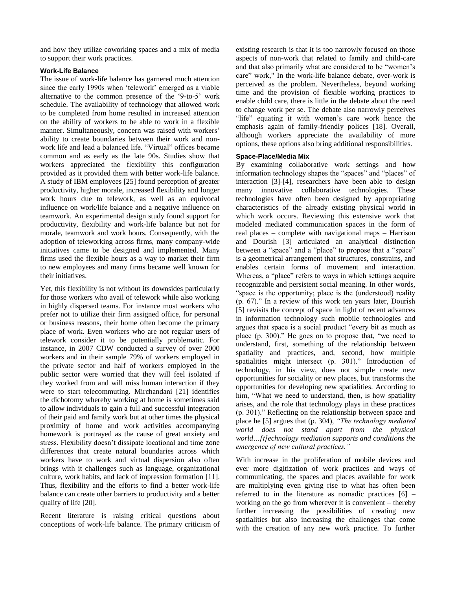and how they utilize coworking spaces and a mix of media to support their work practices.

# **Work-Life Balance**

The issue of work-life balance has garnered much attention since the early 1990s when 'telework' emerged as a viable alternative to the common presence of the  $9$ -to-5' work schedule. The availability of technology that allowed work to be completed from home resulted in increased attention on the ability of workers to be able to work in a flexible manner. Simultaneously, concern was raised with workers' ability to create boundaries between their work and nonwork life and lead a balanced life. "Virtual" offices became common and as early as the late 90s. Studies show that workers appreciated the flexibility this configuration provided as it provided them with better work-life balance. A study of IBM employees [25] found perception of greater productivity, higher morale, increased flexibility and longer work hours due to telework, as well as an equivocal influence on work/life balance and a negative influence on teamwork. An experimental design study found support for productivity, flexibility and work-life balance but not for morale, teamwork and work hours. Consequently, with the adoption of teleworking across firms, many company-wide initiatives came to be designed and implemented. Many firms used the flexible hours as a way to market their firm to new employees and many firms became well known for their initiatives.

Yet, this flexibility is not without its downsides particularly for those workers who avail of telework while also working in highly dispersed teams. For instance most workers who prefer not to utilize their firm assigned office, for personal or business reasons, their home often become the primary place of work. Even workers who are not regular users of telework consider it to be potentially problematic. For instance, in 2007 CDW conducted a survey of over 2000 workers and in their sample 79% of workers employed in the private sector and half of workers employed in the public sector were worried that they will feel isolated if they worked from and will miss human interaction if they were to start telecommuting. Mirchandani [21] identifies the dichotomy whereby working at home is sometimes said to allow individuals to gain a full and successful integration of their paid and family work but at other times the physical proximity of home and work activities accompanying homework is portrayed as the cause of great anxiety and stress. Flexibility doesn't dissipate locational and time zone differences that create natural boundaries across which workers have to work and virtual dispersion also often brings with it challenges such as language, organizational culture, work habits, and lack of impression formation [11]. Thus, flexibility and the efforts to find a better work-life balance can create other barriers to productivity and a better quality of life [20].

Recent literature is raising critical questions about conceptions of work-life balance. The primary criticism of existing research is that it is too narrowly focused on those aspects of non-work that related to family and child-care and that also primarily what are considered to be "women's care" work," In the work-life balance debate, over-work is perceived as the problem. Nevertheless, beyond working time and the provision of flexible working practices to enable child care, there is little in the debate about the need to change work per se. The debate also narrowly perceives "life" equating it with women's care work hence the emphasis again of family-friendly polices [18]. Overall, although workers appreciate the availability of more options, these options also bring additional responsibilities.

# **Space-Place/Media Mix**

By examining collaborative work settings and how information technology shapes the "spaces" and "places" of interaction [3]-[4], researchers have been able to design many innovative collaborative technologies. These technologies have often been designed by appropriating characteristics of the already existing physical world in which work occurs. Reviewing this extensive work that modeled mediated communication spaces in the form of real places – complete with navigational maps – Harrison and Dourish [3] articulated an analytical distinction between a "space" and a "place" to propose that a "space" is a geometrical arrangement that structures, constrains, and enables certain forms of movement and interaction. Whereas, a "place" refers to ways in which settings acquire recognizable and persistent social meaning. In other words, "space is the opportunity; place is the (understood) reality  $(p. 67)$ ." In a review of this work ten years later, Dourish [5] revisits the concept of space in light of recent advances in information technology such mobile technologies and argues that space is a social product "every bit as much as place (p. 300)." He goes on to propose that, "we need to understand, first, something of the relationship between spatiality and practices, and, second, how multiple spatialities might intersect (p. 301)." Introduction of technology, in his view, does not simple create new opportunities for sociality or new places, but transforms the opportunities for developing new spatialities. According to him, "What we need to understand, then, is how spatiality arises, and the role that technology plays in these practices (p. 301)." Reflecting on the relationship between space and place he [5] argues that (p. 304), *"The technology mediated world does not stand apart from the physical world…[t]echnology mediation supports and conditions the emergence of new cultural practices."* 

With increase in the proliferation of mobile devices and ever more digitization of work practices and ways of communicating, the spaces and places available for work are multiplying even giving rise to what has often been referred to in the literature as nomadic practices [6] – working on the go from wherever it is convenient – thereby further increasing the possibilities of creating new spatialities but also increasing the challenges that come with the creation of any new work practice. To further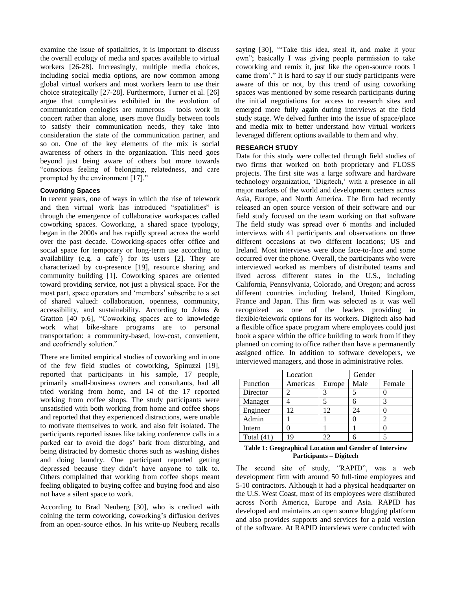examine the issue of spatialities, it is important to discuss the overall ecology of media and spaces available to virtual workers [26-28]. Increasingly, multiple media choices, including social media options, are now common among global virtual workers and most workers learn to use their choice strategically [27-28]. Furthermore, Turner et al. [26] argue that complexities exhibited in the evolution of communication ecologies are numerous – tools work in concert rather than alone, users move fluidly between tools to satisfy their communication needs, they take into consideration the state of the communication partner, and so on. One of the key elements of the mix is social awareness of others in the organization. This need goes beyond just being aware of others but more towards ―conscious feeling of belonging, relatedness, and care prompted by the environment [17]."

# **Coworking Spaces**

In recent years, one of ways in which the rise of telework and then virtual work has introduced "spatialities" is through the emergence of collaborative workspaces called coworking spaces. Coworking, a shared space typology, began in the 2000s and has rapidly spread across the world over the past decade. Coworking-spaces offer office and social space for temporary or long-term use according to availability (e.g. a cafe´) for its users [2]. They are characterized by co-presence [19], resource sharing and community building [1]. Coworking spaces are oriented toward providing service, not just a physical space. For the most part, space operators and 'members' subscribe to a set of shared valued: collaboration, openness, community, accessibility, and sustainability. According to Johns & Gratton [40 p.6], "Coworking spaces are to knowledge work what bike-share programs are to personal transportation: a community-based, low-cost, convenient, and ecofriendly solution."

There are limited empirical studies of coworking and in one of the few field studies of coworking, Spinuzzi [19], reported that participants in his sample, 17 people, primarily small-business owners and consultants, had all tried working from home, and 14 of the 17 reported working from coffee shops. The study participants were unsatisfied with both working from home and coffee shops and reported that they experienced distractions, were unable to motivate themselves to work, and also felt isolated. The participants reported issues like taking conference calls in a parked car to avoid the dogs' bark from disturbing, and being distracted by domestic chores such as washing dishes and doing laundry. One participant reported getting depressed because they didn't have anyone to talk to. Others complained that working from coffee shops meant feeling obligated to buying coffee and buying food and also not have a silent space to work.

According to Brad Neuberg [30], who is credited with coining the term coworking, coworking's diffusion derives from an open-source ethos. In his write-up Neuberg recalls saying [30], "Take this idea, steal it, and make it your own"; basically I was giving people permission to take coworking and remix it, just like the open-source roots I came from'." It is hard to say if our study participants were aware of this or not, by this trend of using coworking spaces was mentioned by some research participants during the initial negotiations for access to research sites and emerged more fully again during interviews at the field study stage. We delved further into the issue of space/place and media mix to better understand how virtual workers leveraged different options available to them and why.

# **RESEARCH STUDY**

Data for this study were collected through field studies of two firms that worked on both proprietary and FLOSS projects. The first site was a large software and hardware technology organization, 'Digitech,' with a presence in all major markets of the world and development centers across Asia, Europe, and North America. The firm had recently released an open source version of their software and our field study focused on the team working on that software The field study was spread over 6 months and included interviews with 41 participants and observations on three different occasions at two different locations; US and Ireland. Most interviews were done face-to-face and some occurred over the phone. Overall, the participants who were interviewed worked as members of distributed teams and lived across different states in the U.S., including California, Pennsylvania, Colorado, and Oregon; and across different countries including Ireland, United Kingdom, France and Japan. This firm was selected as it was well recognized as one of the leaders providing in flexible/telework options for its workers. Digitech also had a flexible office space program where employees could just book a space within the office building to work from if they planned on coming to office rather than have a permanently assigned office. In addition to software developers, we interviewed managers, and those in administrative roles.

|              | Location |        | Gender |        |
|--------------|----------|--------|--------|--------|
| Function     | Americas | Europe | Male   | Female |
| Director     |          |        |        |        |
| Manager      |          |        |        |        |
| Engineer     | 12       | 12     | 24     |        |
| Admin        |          |        |        |        |
| Intern       |          |        |        |        |
| Total $(41)$ | 19       | າາ     |        |        |

#### **Table 1: Geographical Location and Gender of Interview Participants – Digitech**

The second site of study, "RAPID", was a web development firm with around 50 full-time employees and 5-10 contractors. Although it had a physical headquarter on the U.S. West Coast, most of its employees were distributed across North America, Europe and Asia. RAPID has developed and maintains an open source blogging platform and also provides supports and services for a paid version of the software. At RAPID interviews were conducted with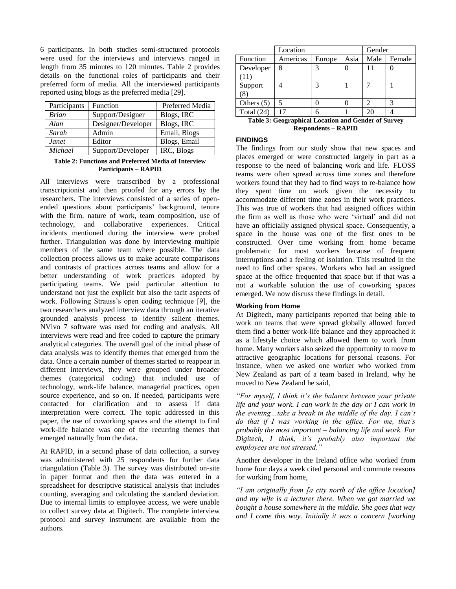6 participants. In both studies semi-structured protocols were used for the interviews and interviews ranged in length from 35 minutes to 120 minutes. Table 2 provides details on the functional roles of participants and their preferred form of media. All the interviewed participants reported using blogs as the preferred media [29].

| Participants | Function           | Preferred Media |  |  |
|--------------|--------------------|-----------------|--|--|
| <b>Brian</b> | Support/Designer   | Blogs, IRC      |  |  |
| Alan         | Designer/Developer | Blogs, IRC      |  |  |
| Sarah        | Admin              | Email, Blogs    |  |  |
| Janet        | Editor             | Blogs, Email    |  |  |
| Michael      | Support/Developer  | IRC, Blogs      |  |  |

### **Table 2: Functions and Preferred Media of Interview Participants – RAPID**

All interviews were transcribed by a professional transcriptionist and then proofed for any errors by the researchers. The interviews consisted of a series of openended questions about participants' background, tenure with the firm, nature of work, team composition, use of technology, and collaborative experiences. Critical incidents mentioned during the interview were probed further. Triangulation was done by interviewing multiple members of the same team where possible. The data collection process allows us to make accurate comparisons and contrasts of practices across teams and allow for a better understanding of work practices adopted by participating teams. We paid particular attention to understand not just the explicit but also the tacit aspects of work. Following Strauss's open coding technique [9], the two researchers analyzed interview data through an iterative grounded analysis process to identify salient themes. NVivo 7 software was used for coding and analysis. All interviews were read and free coded to capture the primary analytical categories. The overall goal of the initial phase of data analysis was to identify themes that emerged from the data. Once a certain number of themes started to reappear in different interviews, they were grouped under broader themes (categorical coding) that included use of technology, work-life balance, managerial practices, open source experience, and so on. If needed, participants were contacted for clarification and to assess if data interpretation were correct. The topic addressed in this paper, the use of coworking spaces and the attempt to find work-life balance was one of the recurring themes that emerged naturally from the data.

At RAPID, in a second phase of data collection, a survey was administered with 25 respondents for further data triangulation (Table 3). The survey was distributed on-site in paper format and then the data was entered in a spreadsheet for descriptive statistical analysis that includes counting, averaging and calculating the standard deviation. Due to internal limits to employee access, we were unable to collect survey data at Digitech. The complete interview protocol and survey instrument are available from the authors.

|                   | Location |        |      | Gender |        |
|-------------------|----------|--------|------|--------|--------|
| Function          | Americas | Europe | Asia | Male   | Female |
| Developer<br>(11` | 8        | 3      |      |        |        |
| Support<br>(8)    |          | 3      |      |        |        |
| Others $(5)$      | 5        |        |      |        |        |
| Total $(24)$      |          |        |      | 2Ο     |        |

**Table 3: Geographical Location and Gender of Survey Respondents – RAPID**

# **FINDINGS**

The findings from our study show that new spaces and places emerged or were constructed largely in part as a response to the need of balancing work and life. FLOSS teams were often spread across time zones and therefore workers found that they had to find ways to re-balance how they spent time on work given the necessity to accommodate different time zones in their work practices. This was true of workers that had assigned offices within the firm as well as those who were 'virtual' and did not have an officially assigned physical space. Consequently, a space in the house was one of the first ones to be constructed. Over time working from home became problematic for most workers because of frequent interruptions and a feeling of isolation. This resulted in the need to find other spaces. Workers who had an assigned space at the office frequented that space but if that was a not a workable solution the use of coworking spaces emerged. We now discuss these findings in detail.

# **Working from Home**

At Digitech, many participants reported that being able to work on teams that were spread globally allowed forced them find a better work-life balance and they approached it as a lifestyle choice which allowed them to work from home. Many workers also seized the opportunity to move to attractive geographic locations for personal reasons. For instance, when we asked one worker who worked from New Zealand as part of a team based in Ireland, why he moved to New Zealand he said,

*"For myself, I think it"s the balance between your private life and your work. I can work in the day or I can work in the evening…take a break in the middle of the day. I can"t do that if I was working in the office. For me, that"s probably the most important – balancing life and work. For Digitech, I think, it"s probably also important the employees are not stressed."* 

Another developer in the Ireland office who worked from home four days a week cited personal and commute reasons for working from home,

*"I am originally from [a city north of the office location] and my wife is a lecturer there. When we got married we bought a house somewhere in the middle. She goes that way and I come this way. Initially it was a concern [working*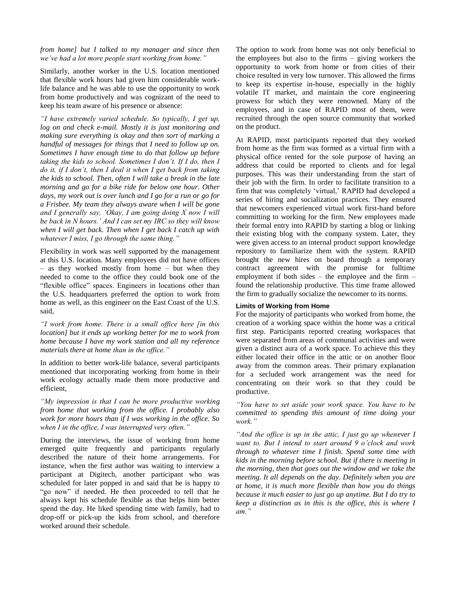# *from home] but I talked to my manager and since then we"ve had a lot more people start working from home."*

Similarly, another worker in the U.S. location mentioned that flexible work hours had given him considerable worklife balance and he was able to use the opportunity to work from home productively and was cognizant of the need to keep his team aware of his presence or absence:

*"I have extremely varied schedule. So typically, I get up, log on and check e-mail. Mostly it is just monitoring and making sure everything is okay and then sort of marking a handful of messages for things that I need to follow up on. Sometimes I have enough time to do that follow up before taking the kids to school. Sometimes I don"t. If I do, then I do it, if I don"t, then I deal it when I get back from taking the kids to school. Then, often I will take a break in the late morning and go for a bike ride for below one hour. Other days, my work out is over lunch and I go for a run or go for a Frisbee. My team they always aware when I will be gone and I generally say, "Okay, I am going doing X now I will be back in N hours." And I can set my IRC so they will know when I will get back. Then when I get back I catch up with whatever I miss, I go through the same thing."*

Flexibility in work was well supported by the management at this U.S. location. Many employees did not have offices – as they worked mostly from home – but when they needed to come to the office they could book one of the "flexible office" spaces. Engineers in locations other than the U.S. headquarters preferred the option to work from home as well, as this engineer on the East Coast of the U.S. said,

*"I work from home. There is a small office here [in this location] but it ends up working better for me to work from home because I have my work station and all my reference materials there at home than in the office."*

In addition to better work-life balance, several participants mentioned that incorporating working from home in their work ecology actually made them more productive and efficient,

*"My impression is that I can be more productive working from home that working from the office. I probably also work for more hours than if I was working in the office. So when I in the office, I was interrupted very often."* 

During the interviews, the issue of working from home emerged quite frequently and participants regularly described the nature of their home arrangements. For instance, when the first author was waiting to interview a participant at Digitech, another participant who was scheduled for later popped in and said that he is happy to "go now" if needed. He then proceeded to tell that he always kept his schedule flexible as that helps him better spend the day. He liked spending time with family, had to drop-off or pick-up the kids from school, and therefore worked around their schedule.

The option to work from home was not only beneficial to the employees but also to the firms – giving workers the opportunity to work from home or from cities of their choice resulted in very low turnover. This allowed the firms to keep its expertise in-house, especially in the highly volatile IT market, and maintain the core engineering prowess for which they were renowned. Many of the employees, and in case of RAPID most of them, were recruited through the open source community that worked on the product.

At RAPID, most participants reported that they worked from home as the firm was formed as a virtual firm with a physical office rented for the sole purpose of having an address that could be reported to clients and for legal purposes. This was their understanding from the start of their job with the firm. In order to facilitate transition to a firm that was completely 'virtual,' RAPID had developed a series of hiring and socialization practices. They ensured that newcomers experienced virtual work first-hand before committing to working for the firm. New employees made their formal entry into RAPID by starting a blog or linking their existing blog with the company system. Later, they were given access to an internal product support knowledge repository to familiarize them with the system. RAPID brought the new hires on board through a temporary contract agreement with the promise for fulltime employment if both sides – the employee and the firm – found the relationship productive. This time frame allowed the firm to gradually socialize the newcomer to its norms.

# **Limits of Working from Home**

For the majority of participants who worked from home, the creation of a working space within the home was a critical first step. Participants reported creating workspaces that were separated from areas of communal activities and were given a distinct aura of a work space. To achieve this they either located their office in the attic or on another floor away from the common areas. Their primary explanation for a secluded work arrangement was the need for concentrating on their work so that they could be productive.

*"You have to set aside your work space. You have to be committed to spending this amount of time doing your work."*

*"And the office is up in the attic, I just go up whenever I want to. But I intend to start around 9 o"clock and work through to whatever time I finish. Spend some time with kids in the morning before school. But if there is meeting in the morning, then that goes out the window and we take the meeting. It all depends on the day. Definitely when you are at home, it is much more flexible than how you do things because it much easier to just go up anytime. But I do try to keep a distinction as in this is the office, this is where I am."*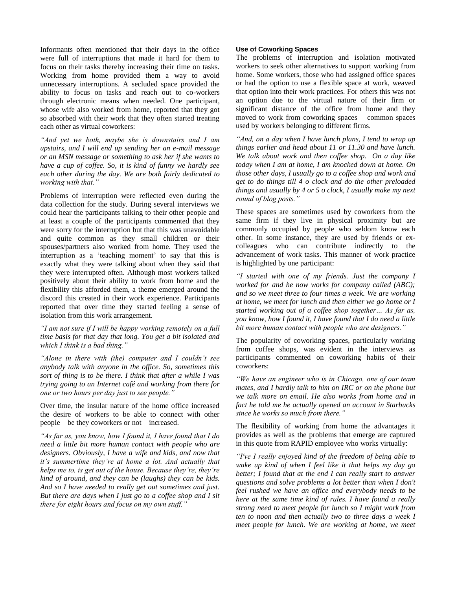Informants often mentioned that their days in the office were full of interruptions that made it hard for them to focus on their tasks thereby increasing their time on tasks. Working from home provided them a way to avoid unnecessary interruptions. A secluded space provided the ability to focus on tasks and reach out to co-workers through electronic means when needed. One participant, whose wife also worked from home, reported that they got so absorbed with their work that they often started treating each other as virtual coworkers:

*"And yet we both, maybe she is downstairs and I am upstairs, and I will end up sending her an e-mail message or an MSN message or something to ask her if she wants to have a cup of coffee. So, it is kind of funny we hardly see each other during the day. We are both fairly dedicated to working with that."*

Problems of interruption were reflected even during the data collection for the study. During several interviews we could hear the participants talking to their other people and at least a couple of the participants commented that they were sorry for the interruption but that this was unavoidable and quite common as they small children or their spouses/partners also worked from home. They used the interruption as a 'teaching moment' to say that this is exactly what they were talking about when they said that they were interrupted often. Although most workers talked positively about their ability to work from home and the flexibility this afforded them, a theme emerged around the discord this created in their work experience. Participants reported that over time they started feeling a sense of isolation from this work arrangement.

*"I am not sure if I will be happy working remotely on a full time basis for that day that long. You get a bit isolated and which I think is a bad thing."*

*"Alone in there with (the) computer and I couldn"t see anybody talk with anyone in the office. So, sometimes this sort of thing is to be there. I think that after a while I was trying going to an Internet café and working from there for one or two hours per day just to see people."*

Over time, the insular nature of the home office increased the desire of workers to be able to connect with other people – be they coworkers or not – increased.

*"As far as, you know, how I found it, I have found that I do need a little bit more human contact with people who are designers. Obviously, I have a wife and kids, and now that it"s summertime they"re at home a lot. And actually that helps me to, is get out of the house. Because they"re, they"re kind of around, and they can be (laughs) they can be kids. And so I have needed to really get out sometimes and just. But there are days when I just go to a coffee shop and I sit there for eight hours and focus on my own stuff."*

# **Use of Coworking Spaces**

The problems of interruption and isolation motivated workers to seek other alternatives to support working from home. Some workers, those who had assigned office spaces or had the option to use a flexible space at work, weaved that option into their work practices. For others this was not an option due to the virtual nature of their firm or significant distance of the office from home and they moved to work from coworking spaces – common spaces used by workers belonging to different firms.

*"And, on a day when I have lunch plans, I tend to wrap up things earlier and head about 11 or 11.30 and have lunch. We talk about work and then coffee shop. On a day like today when I am at home, I am knocked down at home. On those other days, I usually go to a coffee shop and work and get to do things till 4 o clock and do the other preloaded things and usually by 4 or 5 o clock, I usually make my next round of blog posts."*

These spaces are sometimes used by coworkers from the same firm if they live in physical proximity but are commonly occupied by people who seldom know each other. In some instance, they are used by friends or excolleagues who can contribute indirectly to the advancement of work tasks. This manner of work practice is highlighted by one participant:

*"I started with one of my friends. Just the company I worked for and he now works for company called (ABC); and so we meet three to four times a week. We are working at home, we meet for lunch and then either we go home or I started working out of a coffee shop together… As far as, you know, how I found it, I have found that I do need a little bit more human contact with people who are designers."*

The popularity of coworking spaces, particularly working from coffee shops, was evident in the interviews as participants commented on coworking habits of their coworkers:

*"We have an engineer who is in Chicago, one of our team mates, and I hardly talk to him on IRC or on the phone but we talk more on email. He also works from home and in fact he told me he actually opened an account in Starbucks since he works so much from there."*

The flexibility of working from home the advantages it provides as well as the problems that emerge are captured in this quote from RAPID employee who works virtually:

*"I've I really enjoyed kind of the freedom of being able to wake up kind of when I feel like it that helps my day go better; I found that at the end I can really start to answer questions and solve problems a lot better than when I don't feel rushed we have an office and everybody needs to be here at the same time kind of rules. I have found a really strong need to meet people for lunch so I might work from ten to noon and then actually two to three days a week I meet people for lunch. We are working at home, we meet*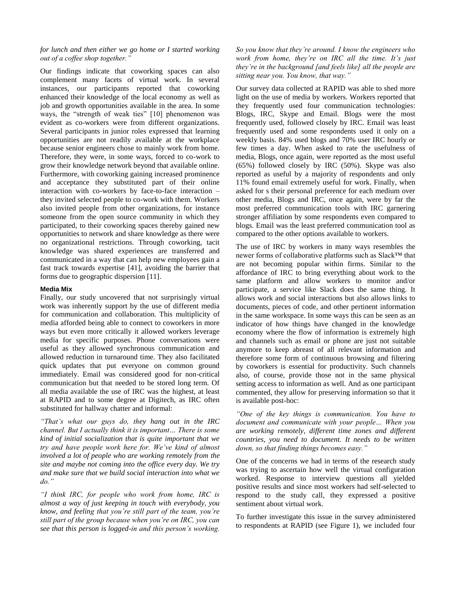# *for lunch and then either we go home or I started working out of a coffee shop together."*

Our findings indicate that coworking spaces can also complement many facets of virtual work. In several instances, our participants reported that coworking enhanced their knowledge of the local economy as well as job and growth opportunities available in the area. In some ways, the "strength of weak ties" [10] phenomenon was evident as co-workers were from different organizations. Several participants in junior roles expressed that learning opportunities are not readily available at the workplace because senior engineers chose to mainly work from home. Therefore, they were, in some ways, forced to co-work to grow their knowledge network beyond that available online. Furthermore, with coworking gaining increased prominence and acceptance they substituted part of their online interaction with co-workers by face-to-face interaction – they invited selected people to co-work with them. Workers also invited people from other organizations, for instance someone from the open source community in which they participated, to their coworking spaces thereby gained new opportunities to network and share knowledge as there were no organizational restrictions. Through coworking, tacit knowledge was shared experiences are transferred and communicated in a way that can help new employees gain a fast track towards expertise [41], avoiding the barrier that forms due to geographic dispersion [11].

# **Media Mix**

Finally, our study uncovered that not surprisingly virtual work was inherently support by the use of different media for communication and collaboration. This multiplicity of media afforded being able to connect to coworkers in more ways but even more critically it allowed workers leverage media for specific purposes. Phone conversations were useful as they allowed synchronous communication and allowed reduction in turnaround time. They also facilitated quick updates that put everyone on common ground immediately. Email was considered good for non-critical communication but that needed to be stored long term. Of all media available the use of IRC was the highest, at least at RAPID and to some degree at Digitech, as IRC often substituted for hallway chatter and informal:

*"That"s what our guys do, they hang out in the IRC channel. But I actually think it is important… There is some kind of initial socialization that is quite important that we try and have people work here for. We"ve kind of almost involved a lot of people who are working remotely from the site and maybe not coming into the office every day. We try and make sure that we build social interaction into what we do."*

*"I think IRC, for people who work from home, IRC is almost a way of just keeping in touch with everybody, you know, and feeling that you"re still part of the team, you"re still part of the group because when you"re on IRC, you can see that this person is logged-in and this person"s working.* 

*So you know that they"re around. I know the engineers who work from home, they"re on IRC all the time. It"s just they"re in the background [and feels like] all the people are sitting near you. You know, that way."*

Our survey data collected at RAPID was able to shed more light on the use of media by workers. Workers reported that they frequently used four communication technologies: Blogs, IRC, Skype and Email. Blogs were the most frequently used, followed closely by IRC. Email was least frequently used and some respondents used it only on a weekly basis. 84% used blogs and 70% user IRC hourly or few times a day. When asked to rate the usefulness of media, Blogs, once again, were reported as the most useful (65%) followed closely by IRC (50%). Skype was also reported as useful by a majority of respondents and only 11% found email extremely useful for work. Finally, when asked for s their personal preference for each medium over other media, Blogs and IRC, once again, were by far the most preferred communication tools with IRC garnering stronger affiliation by some respondents even compared to blogs. Email was the least preferred communication tool as compared to the other options available to workers.

The use of IRC by workers in many ways resembles the newer forms of collaborative platforms such as Slack™ that are not becoming popular within firms. Similar to the affordance of IRC to bring everything about work to the same platform and allow workers to monitor and/or participate, a service like Slack does the same thing. It allows work and social interactions but also allows links to documents, pieces of code, and other pertinent information in the same workspace. In some ways this can be seen as an indicator of how things have changed in the knowledge economy where the flow of information is extremely high and channels such as email or phone are just not suitable anymore to keep abreast of all relevant information and therefore some form of continuous browsing and filtering by coworkers is essential for productivity. Such channels also, of course, provide those not in the same physical setting access to information as well. And as one participant commented, they allow for preserving information so that it is available post-hoc:

*"One of the key things is communication. You have to document and communicate with your people… When you are working remotely, different time zones and different countries, you need to document. It needs to be written down, so that finding things becomes easy."*

One of the concerns we had in terms of the research study was trying to ascertain how well the virtual configuration worked. Response to interview questions all yielded positive results and since most workers had self-selected to respond to the study call, they expressed a positive sentiment about virtual work.

To further investigate this issue in the survey administered to respondents at RAPID (see Figure 1), we included four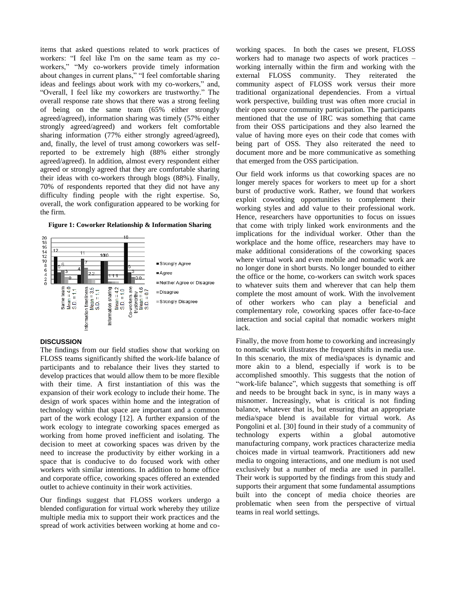items that asked questions related to work practices of workers: "I feel like I'm on the same team as my coworkers," "My co-workers provide timely information about changes in current plans," "I feel comfortable sharing ideas and feelings about work with my co-workers," and, ―Overall, I feel like my coworkers are trustworthy.‖ The overall response rate shows that there was a strong feeling of being on the same team (65% either strongly agreed/agreed), information sharing was timely (57% either strongly agreed/agreed) and workers felt comfortable sharing information (77% either strongly agreed/agreed), and, finally, the level of trust among coworkers was selfreported to be extremely high (88% either strongly agreed/agreed). In addition, almost every respondent either agreed or strongly agreed that they are comfortable sharing their ideas with co-workers through blogs (88%). Finally, 70% of respondents reported that they did not have any difficulty finding people with the right expertise. So, overall, the work configuration appeared to be working for the firm.

**Figure 1: Coworker Relationship & Information Sharing**



#### **DISCUSSION**

The findings from our field studies show that working on FLOSS teams significantly shifted the work-life balance of participants and to rebalance their lives they started to develop practices that would allow them to be more flexible with their time. A first instantiation of this was the expansion of their work ecology to include their home. The design of work spaces within home and the integration of technology within that space are important and a common part of the work ecology [12]. A further expansion of the work ecology to integrate coworking spaces emerged as working from home proved inefficient and isolating. The decision to meet at coworking spaces was driven by the need to increase the productivity by either working in a space that is conducive to do focused work with other workers with similar intentions. In addition to home office and corporate office, coworking spaces offered an extended outlet to achieve continuity in their work activities.

Our findings suggest that FLOSS workers undergo a blended configuration for virtual work whereby they utilize multiple media mix to support their work practices and the spread of work activities between working at home and coworking spaces. In both the cases we present, FLOSS workers had to manage two aspects of work practices – working internally within the firm and working with the external FLOSS community. They reiterated the community aspect of FLOSS work versus their more traditional organizational dependencies. From a virtual work perspective, building trust was often more crucial in their open source community participation. The participants mentioned that the use of IRC was something that came from their OSS participations and they also learned the value of having more eyes on their code that comes with being part of OSS. They also reiterated the need to document more and be more communicative as something that emerged from the OSS participation.

Our field work informs us that coworking spaces are no longer merely spaces for workers to meet up for a short burst of productive work. Rather, we found that workers exploit coworking opportunities to complement their working styles and add value to their professional work. Hence, researchers have opportunities to focus on issues that come with triply linked work environments and the implications for the individual worker. Other than the workplace and the home office, researchers may have to make additional considerations of the coworking spaces where virtual work and even mobile and nomadic work are no longer done in short bursts. No longer bounded to either the office or the home, co-workers can switch work spaces to whatever suits them and wherever that can help them complete the most amount of work. With the involvement of other workers who can play a beneficial and complementary role, coworking spaces offer face-to-face interaction and social capital that nomadic workers might lack.

Finally, the move from home to coworking and increasingly to nomadic work illustrates the frequent shifts in media use. In this scenario, the mix of media/spaces is dynamic and more akin to a blend, especially if work is to be accomplished smoothly. This suggests that the notion of "work-life balance", which suggests that something is off and needs to be brought back in sync, is in many ways a misnomer. Increasingly, what is critical is not finding balance, whatever that is, but ensuring that an appropriate media/space blend is available for virtual work. As Pongolini et al. [30] found in their study of a community of technology experts within a global automotive manufacturing company, work practices characterize media choices made in virtual teamwork. Practitioners add new media to ongoing interactions, and one medium is not used exclusively but a number of media are used in parallel. Their work is supported by the findings from this study and supports their argument that some fundamental assumptions built into the concept of media choice theories are problematic when seen from the perspective of virtual teams in real world settings.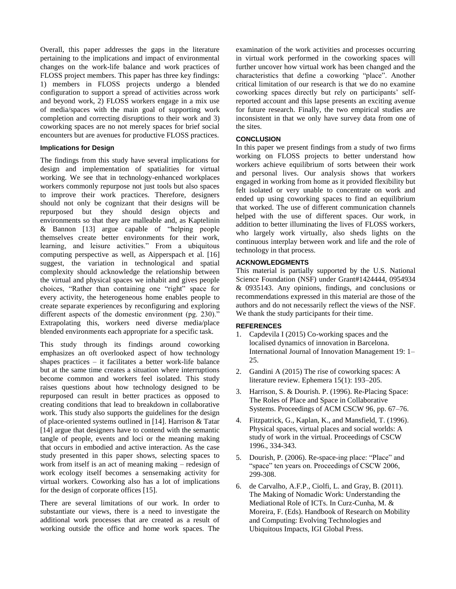Overall, this paper addresses the gaps in the literature pertaining to the implications and impact of environmental changes on the work-life balance and work practices of FLOSS project members. This paper has three key findings: 1) members in FLOSS projects undergo a blended configuration to support a spread of activities across work and beyond work, 2) FLOSS workers engage in a mix use of media/spaces with the main goal of supporting work completion and correcting disruptions to their work and 3) coworking spaces are no not merely spaces for brief social encounters but are avenues for productive FLOSS practices.

# **Implications for Design**

The findings from this study have several implications for design and implementation of spatialities for virtual working. We see that in technology-enhanced workplaces workers commonly repurpose not just tools but also spaces to improve their work practices. Therefore, designers should not only be cognizant that their designs will be repurposed but they should design objects and environments so that they are malleable and, as Kaptelinin  $&$  Bannon [13] argue capable of "helping people themselves create better environments for their work, learning, and leisure activities." From a ubiquitous computing perspective as well, as Aipperspach et al. [16] suggest, the variation in technological and spatial complexity should acknowledge the relationship between the virtual and physical spaces we inhabit and gives people choices, "Rather than containing one "right" space for every activity, the heterogeneous home enables people to create separate experiences by reconfiguring and exploring different aspects of the domestic environment (pg.  $230$ )." Extrapolating this, workers need diverse media/place blended environments each appropriate for a specific task.

This study through its findings around coworking emphasizes an oft overlooked aspect of how technology shapes practices – it facilitates a better work-life balance but at the same time creates a situation where interruptions become common and workers feel isolated. This study raises questions about how technology designed to be repurposed can result in better practices as opposed to creating conditions that lead to breakdown in collaborative work. This study also supports the guidelines for the design of place-oriented systems outlined in [14]. Harrison & Tatar [14] argue that designers have to contend with the semantic tangle of people, events and loci or the meaning making that occurs in embodied and active interaction. As the case study presented in this paper shows, selecting spaces to work from itself is an act of meaning making – redesign of work ecology itself becomes a sensemaking activity for virtual workers. Coworking also has a lot of implications for the design of corporate offices [15].

There are several limitations of our work. In order to substantiate our views, there is a need to investigate the additional work processes that are created as a result of working outside the office and home work spaces. The examination of the work activities and processes occurring in virtual work performed in the coworking spaces will further uncover how virtual work has been changed and the characteristics that define a coworking "place". Another critical limitation of our research is that we do no examine coworking spaces directly but rely on participants' selfreported account and this lapse presents an exciting avenue for future research. Finally, the two empirical studies are inconsistent in that we only have survey data from one of the sites.

# **CONCLUSION**

In this paper we present findings from a study of two firms working on FLOSS projects to better understand how workers achieve equilibrium of sorts between their work and personal lives. Our analysis shows that workers engaged in working from home as it provided flexibility but felt isolated or very unable to concentrate on work and ended up using coworking spaces to find an equilibrium that worked. The use of different communication channels helped with the use of different spaces. Our work, in addition to better illuminating the lives of FLOSS workers, who largely work virtually, also sheds lights on the continuous interplay between work and life and the role of technology in that process.

# **ACKNOWLEDGMENTS**

This material is partially supported by the U.S. National Science Foundation (NSF) under Grant#1424444, 0954934 & 0935143. Any opinions, findings, and conclusions or recommendations expressed in this material are those of the authors and do not necessarily reflect the views of the NSF. We thank the study participants for their time.

# **REFERENCES**

- 1. Capdevila I (2015) Co-working spaces and the localised dynamics of innovation in Barcelona. International Journal of Innovation Management 19: 1– 25.
- 2. Gandini A (2015) The rise of coworking spaces: A literature review. Ephemera 15(1): 193–205.
- 3. Harrison, S. & Dourish. P. (1996). Re-Placing Space: The Roles of Place and Space in Collaborative Systems. Proceedings of ACM CSCW 96, pp. 67–76.
- 4. Fitzpatrick, G., Kaplan, K., and Mansfield, T. (1996). Physical spaces, virtual places and social worlds: A study of work in the virtual. Proceedings of CSCW 1996., 334-343.
- 5. Dourish, P. (2006). Re-space-ing place: "Place" and "space" ten years on. Proceedings of CSCW 2006, 299-308.
- 6. de Carvalho, A.F.P., Ciolfi, L. and Gray, B. (2011). The Making of Nomadic Work: Understanding the Mediational Role of ICTs. In Curz-Cunha, M. & Moreira, F. (Eds). Handbook of Research on Mobility and Computing: Evolving Technologies and Ubiquitous Impacts, IGI Global Press.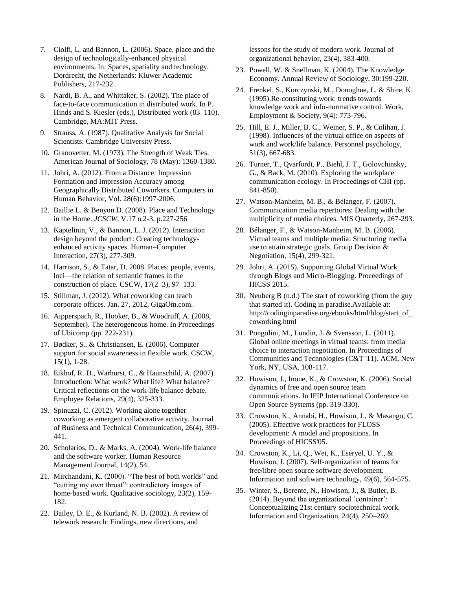- 7. Ciolfi, L. and Bannon, L. (2006). Space, place and the design of technologically-enhanced physical environments. In: Spaces, spatiality and technology. Dordrecht, the Netherlands: Kluwer Academic Publishers, 217-232.
- 8. Nardi, B. A., and Whittaker, S. (2002). The place of face-to-face communication in distributed work. In P. Hinds and S. Kiesler (eds.), Distributed work (83–110). Cambridge, MA:MIT Press.
- 9. Strauss, A. (1987). Qualitative Analysis for Social Scientists. Cambridge University Press.
- 10. Granovetter, M. (1973). The Strength of Weak Ties. American Journal of Sociology, 78 (May): 1360-1380.
- 11. Johri, A. (2012). From a Distance: Impression Formation and Impression Accuracy among Geographically Distributed Coworkers. Computers in Human Behavior, Vol. 28(6):1997-2006.
- 12. Baillie L. & Benyon D. (2008). Place and Technology in the Home. *JCSCW*, V.17 n.2-3, p.227-256
- 13. Kaptelinin, V., & Bannon, L. J. (2012). Interaction design beyond the product: Creating technologyenhanced activity spaces. Human–Computer Interaction, 27(3), 277-309.
- 14. Harrison, S., & Tatar, D. 2008. Places: people, events, loci—the relation of semantic frames in the construction of place. CSCW, 17(2–3), 97–133.
- 15. Stillman, J. (2012). What coworking can teach corporate offices. Jan. 27, 2012, GigaOm.com.
- 16. Aipperspach, R., Hooker, B., & Woodruff, A. (2008, September). The heterogeneous home. In Proceedings of Ubicomp (pp. 222-231).
- 17. Bødker, S., & Christiansen, E. (2006). Computer support for social awareness in flexible work. CSCW, 15(1), 1-28.
- 18. Eikhof, R. D., Warhurst, C., & Haunschild, A. (2007). Introduction: What work? What life? What balance? Critical reflections on the work-life balance debate. Employee Relations, 29(4), 325-333.
- 19. Spinuzzi, C. (2012). Working alone together coworking as emergent collaborative activity. Journal of Business and Technical Communication, 26(4), 399- 441.
- 20. Scholarios, D., & Marks, A. (2004). Work-life balance and the software worker. Human Resource Management Journal, 14(2), 54.
- 21. Mirchandani, K. (2000). "The best of both worlds" and "cutting my own throat": contradictory images of home-based work. Qualitative sociology, 23(2), 159- 182.
- 22. Bailey, D. E., & Kurland, N. B. (2002). A review of telework research: Findings, new directions, and

lessons for the study of modern work. Journal of organizational behavior, 23(4), 383-400.

- 23. Powell, W. & Snellman, K. (2004). The Knowledge Economy. Annual Review of Sociology, 30:199-220.
- 24. Frenkel, S., Korczynski, M., Donoghue, L. & Shire, K. (1995).Re-constituting work: trends towards knowledge work and info-normative control. Work, Employment & Society, 9(4): 773-796.
- 25. Hill, E. J., Miller, B. C., Weiner, S. P., & Colihan, J. (1998). Influences of the virtual office on aspects of work and work/life balance. Personnel psychology, 51(3), 667-683.
- 26. Turner, T., Qvarfordt, P., Biehl, J. T., Golovchinsky, G., & Back, M. (2010). Exploring the workplace communication ecology. In Proceedings of CHI (pp. 841-850).
- 27. Watson-Manheim, M. B., & Bélanger, F. (2007). Communication media repertoires: Dealing with the multiplicity of media choices. MIS Quarterly, 267-293.
- 28. Bélanger, F., & Watson-Manheim, M. B. (2006). Virtual teams and multiple media: Structuring media use to attain strategic goals. Group Decision & Negotiation, 15(4), 299-321.
- 29. Johri, A. (2015). Supporting Global Virtual Work through Blogs and Micro-Blogging. Proceedings of HICSS 2015.
- 30. Neuberg B (n.d.) The start of coworking (from the guy that started it). Coding in paradise.Available at: http://codinginparadise.org/ebooks/html/blog/start\_of\_ coworking.html
- 31. Pongolini, M., Lundin, J. & Svensson, L. (2011). Global online meetings in virtual teams: from media choice to interaction negotiation. In Proceedings of Communities and Technologies (C&T '11). ACM, New York, NY, USA, 108-117.
- 32. Howison, J., Inoue, K., & Crowston, K. (2006). Social dynamics of free and open source team communications. In IFIP International Conference on Open Source Systems (pp. 319-330).
- 33. Crowston, K., Annabi, H., Howison, J., & Masango, C. (2005). Effective work practices for FLOSS development: A model and propositions. In Proceedings of HICSS'05.
- 34. Crowston, K., Li, Q., Wei, K., Eseryel, U. Y., & Howison, J. (2007). Self-organization of teams for free/libre open source software development. Information and software technology, 49(6), 564-575.
- 35. Winter, S., Berente, N., Howison, J., & Butler, B.  $(2014)$ . Beyond the organizational 'container': Conceptualizing 21st century sociotechnical work. Information and Organization, 24(4), 250–269.